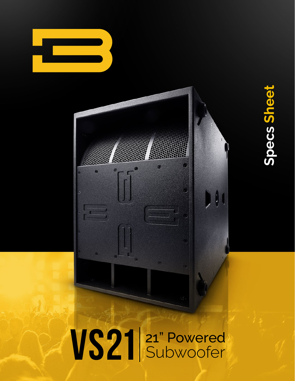



# VS21 21" Powered

 $\tilde{\mathbf{c}}$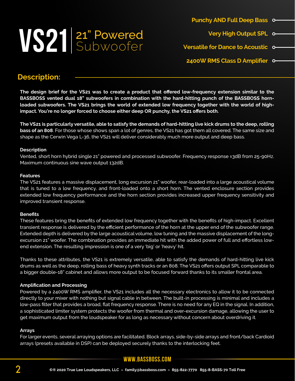# VS21 <sup>21"</sup> Powered

**Punchy AND Full Deep Bass**

- **Very High Output SPL**
- **Versatile for Dance to Acoustic**
- **2400W RMS Class D Amplifier**

### **Description:**

The design brief for the VS21 was to create a product that offered low-frequency extension similar to the **BASSBOSS vented dual 18" subwoofers in combination with the hard-hitting punch of the BASSBOSS hornloaded subwoofers. The VS21 brings the world of extended low frequency together with the world of highimpact. You're no longer forced to choose either deep OR punchy, the VS21 offers both.**

**The VS21 is particularly versatile, able to satisfy the demands of hard-hitting live kick drums to the deep, rolling bass of an 808**. For those whose shows span a lot of genres, the VS21 has got them all covered. The same size and shape as the Cerwin Vega L-36, the VS21 will deliver considerably much more output and deep bass.

#### **Description**

Vented, short horn hybrid single 21" powered and processed subwoofer. Frequency response ±3dB from 25-90Hz. Maximum continuous sine wave output 132dB.

#### **Features**

The VS21 features a massive displacement, long excursion 21" woofer, rear-loaded into a large acoustical volume that is tuned to a low frequency, and front-loaded onto a short horn. The vented enclosure section provides extended low frequency performance and the horn section provides increased upper frequency sensitivity and improved transient response.

### **Benefits**

These features bring the benefits of extended low frequency together with the benefits of high-impact. Excellent transient response is delivered by the efficient performance of the horn at the upper end of the subwoofer range. Extended depth is delivered by the large acoustical volume, low tuning and the massive displacement of the longexcursion 21" woofer. The combination provides an immediate hit with the added power of full and effortless lowend extension. The resulting impression is one of a very 'big' or 'heavy' hit.

Thanks to these attributes, the VS21 is extremely versatile, able to satisfy the demands of hard-hitting live kick drums as well as the deep, rolling bass of heavy synth tracks or an 808. The VS21 offers output SPL comparable to a bigger double-18" cabinet and allows more output to be focused forward thanks to its smaller frontal area.

### **Amplification and Processing**

Powered by a 2400W RMS amplifier, the VS21 includes all the necessary electronics to allow it to be connected directly to your mixer with nothing but signal cable in between. The built-in processing is minimal and includes a low-pass filter that provides a broad, flat frequency response. There is no need for any EQ in the signal. In addition, a sophisticated limiter system protects the woofer from thermal and over-excursion damage, allowing the user to get maximum output from the loudspeaker for as long as necessary without concern about overdriving it.

### **Arrays**

For larger events, several arraying options are facilitated. Block arrays, side-by-side arrays and front/back Cardioid arrays (presets available in DSP) can be deployed securely thanks to the interlocking feet.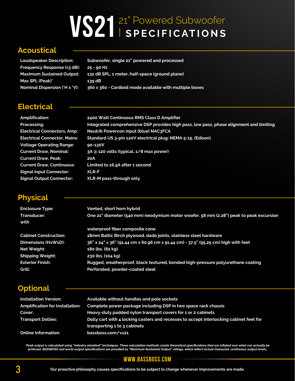# VS21 **SPECIFICATIONS** 21" Powered Subwoofer

### **Acoustical**

**Loudspeaker Description: Subwoofer, single 21" powered and processed Frequency Response (±3 dB): 25 - 90 Hz Maximum Sustained Output: 132 dB SPL, 1 meter, half-space (ground plane) Max SPL (Peak)\* 139 dB Nominal Dispersion (°H x °V): 360 x 360 - Cardioid mode available with multiple boxes**

# **Electrical**

**Amplification: 2400 Watt Continuous RMS Class D Amplifier Processing: Integrated comprehensive DSP provides high pass, low pass, phase alignment and limiting Electrical Connectors, Amp: Neutrik Powercon input (blue) NAC3FCA Electrical Connector, Mains: Standard US 3-pin 120V electrical plug: NEMA 5-15. (Edison) Voltage Operating Range: 90-130V Current Draw, Nominal: 3A @ 120 volts (typical, 1/8 max power) Current Draw, Peak: 20A Current Draw, Continuous: Limited to 16.5A after 1 second Signal Input Connector: XLR-F Signal Output Connector: XLR-M pass-through only**

## **Physical**

| <b>Enclosure Type:</b>       | Vented, short horn hybrid                                                              |
|------------------------------|----------------------------------------------------------------------------------------|
| Transducer:                  | One 21" diameter (540 mm) neodymium motor woofer. 58 mm (2.28") peak to peak excursion |
| with                         |                                                                                        |
|                              | waterproof fiber composite cone                                                        |
| <b>Cabinet Construction:</b> | 18mm Baltic Birch plywood, dado joints, stainless steel hardware                       |
| Dimensions (HxWxD):          | 36" x 24" x 36" (91.44 cm x 60.96 cm x 91.44 cm) - 37.5" (95.25 cm) high with feet     |
| Net Weight:                  | 180 lbs. (82 kg)                                                                       |
| <b>Shipping Weight:</b>      | 230 lbs. (104 kg)                                                                      |
| <b>Exterior Finish:</b>      | Rugged, weatherproof, black textured, bonded high-pressure polyurethane coating        |
| Grill:                       | Perforated, powder-coated steel                                                        |

# **Optional**

| <b>Installation Version:</b>           | Available without handles and pole sockets                                             |
|----------------------------------------|----------------------------------------------------------------------------------------|
| <b>Amplification for Installation:</b> | Complete power package including DSP in two space rack chassis                         |
| Cover:                                 | Heavy-duty padded nylon transport covers for 1 or 2 cabinets                           |
| <b>Transport Dollies:</b>              | Dolly cart with 4 locking casters and recesses to accept interlocking cabinet feet for |
|                                        | transporting 1 to 3 cabinets                                                           |
| <b>Online Information:</b>             | bassboss.com/vs21                                                                      |

"Peak output is calculated using "industry standard" techniques. These calculation methods create theoretical specifications that are inflated over what can actually be<br>achieved. BASSBOSS real world output specifications a

### **www.bassboss.com**